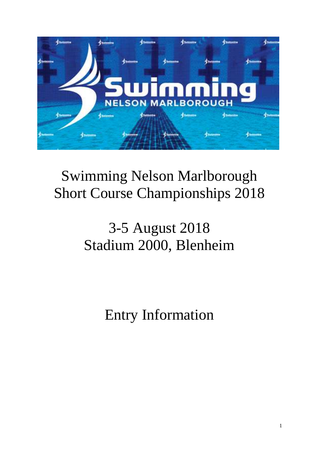

## Swimming Nelson Marlborough Short Course Championships 2018

# 3-5 August 2018 Stadium 2000, Blenheim

Entry Information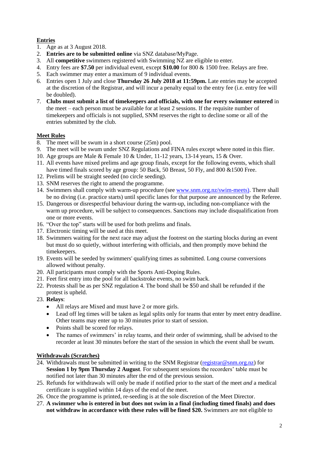#### **Entries**

- 1. Age as at 3 August 2018.
- 2. **Entries are to be submitted online** via SNZ database/MyPage.
- 3. All **competitive** swimmers registered with Swimming NZ are eligible to enter.
- 4. Entry fees are **\$7.50** per individual event, except **\$10.00** for 800 & 1500 free. Relays are free.
- 5. Each swimmer may enter a maximum of 9 individual events.
- 6. Entries open 1 July and close **Thursday 26 July 2018 at 11:59pm.** Late entries may be accepted at the discretion of the Registrar, and will incur a penalty equal to the entry fee (i.e. entry fee will be doubled).
- 7. **Clubs must submit a list of timekeepers and officials, with one for every swimmer entered** in the meet – each person must be available for at least 2 sessions. If the requisite number of timekeepers and officials is not supplied, SNM reserves the right to decline some or all of the entries submitted by the club.

### **Meet Rules**

- 8. The meet will be swum in a short course (25m) pool.
- 9. The meet will be swum under SNZ Regulations and FINA rules except where noted in this flier.
- 10. Age groups are Male & Female 10 & Under, 11-12 years, 13-14 years, 15 & Over.
- 11. All events have mixed prelims and age group finals, except for the following events, which shall have timed finals scored by age group: 50 Back, 50 Breast, 50 Fly, and 800 &1500 Free.
- 12. Prelims will be straight seeded (no circle seeding).
- 13. SNM reserves the right to amend the programme.
- 14. Swimmers shall comply with warm-up procedure (see [www.snm.org.nz/swim-meets\)](http://www.snm.org.nz/swim-meets). There shall be no diving (i.e. practice starts) until specific lanes for that purpose are announced by the Referee.
- 15. Dangerous or disrespectful behaviour during the warm-up, including non-compliance with the warm up procedure, will be subject to consequences. Sanctions may include disqualification from one or more events.
- 16. "Over the top" starts will be used for both prelims and finals.
- 17. Electronic timing will be used at this meet.
- 18. Swimmers waiting for the next race may adjust the footrest on the starting blocks during an event but must do so quietly, without interfering with officials, and then promptly move behind the timekeepers.
- 19. Events will be seeded by swimmers' qualifying times as submitted. Long course conversions allowed without penalty.
- 20. All participants must comply with the Sports Anti-Doping Rules.
- 21. Feet first entry into the pool for all backstroke events, no swim back.
- 22. Protests shall be as per SNZ regulation 4. The bond shall be \$50 and shall be refunded if the protest is upheld.
- 23. **Relays**:
	- All relays are Mixed and must have 2 or more girls.
	- Lead off leg times will be taken as legal splits only for teams that enter by meet entry deadline. Other teams may enter up to 30 minutes prior to start of session.
	- Points shall be scored for relays.
	- The names of swimmers' in relay teams, and their order of swimming, shall be advised to the recorder at least 30 minutes before the start of the session in which the event shall be swum.

## **Withdrawals (Scratches)**

- 24. Withdrawals must be submitted in writing to the SNM Registrar [\(registrar@snm.org.nz\)](mailto:registrar@snm.org.nz) for **Session 1 by 9pm Thursday 2 August**. For subsequent sessions the recorders' table must be notified not later than 30 minutes after the end of the previous session.
- 25. Refunds for withdrawals will only be made if notified prior to the start of the meet *and* a medical certificate is supplied within 14 days of the end of the meet.
- 26. Once the programme is printed, re-seeding is at the sole discretion of the Meet Director.
- 27. **A swimmer who is entered in but does not swim in a final (including timed finals) and does not withdraw in accordance with these rules will be fined \$20.** Swimmers are not eligible to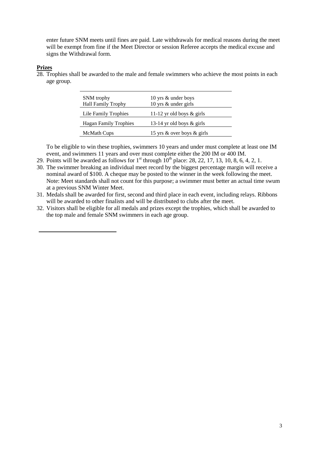enter future SNM meets until fines are paid. Late withdrawals for medical reasons during the meet will be exempt from fine if the Meet Director or session Referee accepts the medical excuse and signs the Withdrawal form.

#### **Prizes**

28. Trophies shall be awarded to the male and female swimmers who achieve the most points in each age group.

| SNM trophy<br><b>Hall Family Trophy</b> | 10 yrs & under boys<br>10 yrs & under girls |
|-----------------------------------------|---------------------------------------------|
| Lile Family Trophies                    | 11-12 yr old boys $\&$ girls                |
| <b>Hagan Family Trophies</b>            | 13-14 yr old boys $\&$ girls                |
| <b>McMath Cups</b>                      | 15 yrs & over boys & girls                  |

To be eligible to win these trophies, swimmers 10 years and under must complete at least one IM event, and swimmers 11 years and over must complete either the 200 IM or 400 IM.

- 29. Points will be awarded as follows for  $1<sup>st</sup>$  through  $10<sup>th</sup>$  place: 28, 22, 17, 13, 10, 8, 6, 4, 2, 1.
- 30. The swimmer breaking an individual meet record by the biggest percentage margin will receive a nominal award of \$100. A cheque may be posted to the winner in the week following the meet. Note: Meet standards shall not count for this purpose; a swimmer must better an actual time swum at a previous SNM Winter Meet.
- 31. Medals shall be awarded for first, second and third place in each event, including relays. Ribbons will be awarded to other finalists and will be distributed to clubs after the meet.
- 32. Visitors shall be eligible for all medals and prizes except the trophies, which shall be awarded to the top male and female SNM swimmers in each age group.